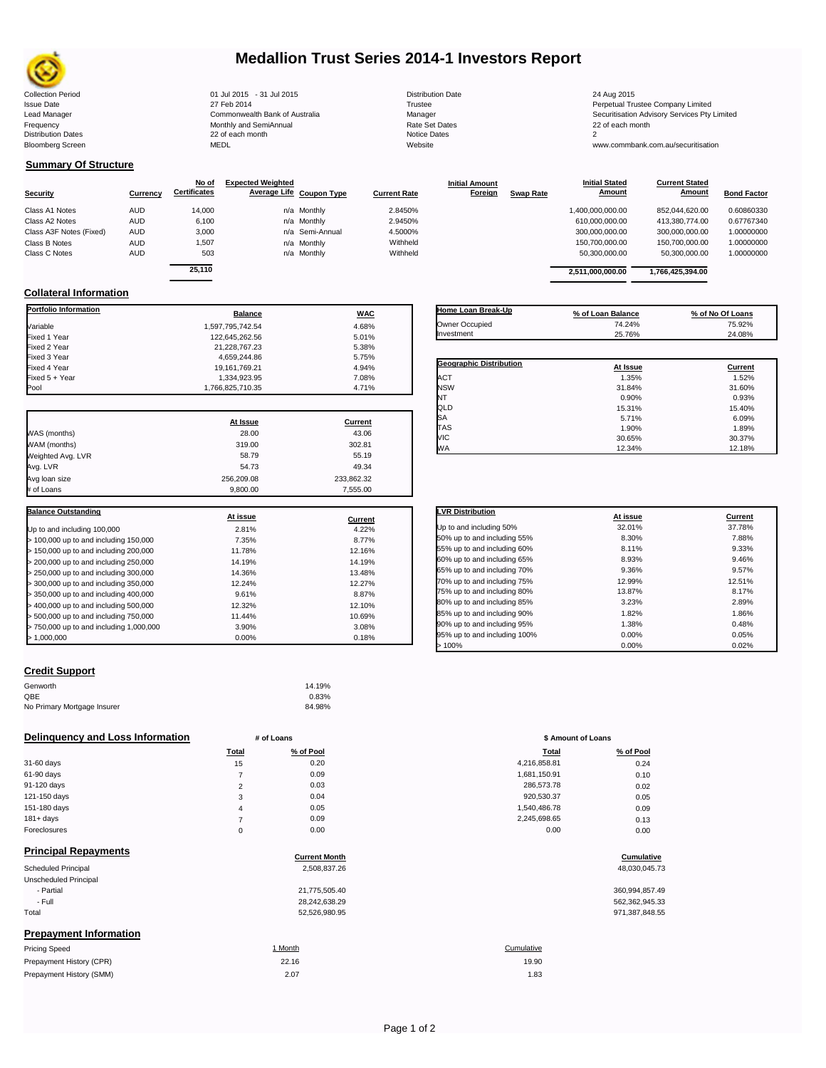

# **Medallion Trust Series 2014-1 Investors Report**

| <b>Collection Period</b>  | 01 Jul 2015 - 31 Jul 2015      | <b>Distribution Date</b> | 24 Aug 2015                             |
|---------------------------|--------------------------------|--------------------------|-----------------------------------------|
| <b>Issue Date</b>         | 27 Feb 2014                    | Trustee                  | Perpetual Trustee Company Limited       |
| Lead Manager              | Commonwealth Bank of Australia | Manager                  | Securitisation Advisory Services Pty Li |
| Frequency                 | Monthly and SemiAnnual         | Rate Set Dates           | 22 of each month                        |
| <b>Distribution Dates</b> | 22 of each month               | Notice Dates             |                                         |
| <b>Bloomberg Screen</b>   | MEDL                           | Website                  | www.commbank.com.au/securitisation      |
|                           |                                |                          |                                         |

Collection Period<br>
27 Feb 2014 1999 2015 27 Feb 2014 2015 27 Feb 2014 2015 22 Feb 2014 22 Feb 2014 22 Trustee Perpetual Trustee Company Limited<br>
27 Feb 2014 22 Feb 2014 20 Commonwealth Bank of Australia Manager Manager Num Lead Manager **Commonwealth Bank of Australia** Manager Manager Manager Securitisation Advisory Services Pty Limited<br>Trequency Securitisation Advisory Services Pty Limited<br>Frequency 22 of each month

## **Summary Of Structure**

|                         |            | No of               | <b>Expected Weighted</b> |                     | <b>Initial Amount</b>       | <b>Initial Stated</b> | <b>Current Stated</b> |                    |
|-------------------------|------------|---------------------|--------------------------|---------------------|-----------------------------|-----------------------|-----------------------|--------------------|
| <b>Security</b>         | Currency   | <b>Certificates</b> | Average Life Coupon Type | <b>Current Rate</b> | Foreign<br><b>Swap Rate</b> | Amount                | Amount                | <b>Bond Factor</b> |
| Class A1 Notes          | <b>AUD</b> | 14,000              | n/a Monthly              | 2.8450%             |                             | 1,400,000,000.00      | 852.044.620.00        | 0.60860330         |
| Class A2 Notes          | <b>AUD</b> | 6,100               | n/a Monthly              | 2.9450%             |                             | 610,000,000.00        | 413,380,774.00        | 0.67767340         |
| Class A3F Notes (Fixed) | <b>AUD</b> | 3,000               | n/a Semi-Annual          | 4.5000%             |                             | 300.000.000.00        | 300.000.000.00        | 1.00000000         |
| Class B Notes           | <b>AUD</b> | 1,507               | n/a Monthly              | Withheld            |                             | 150,700,000.00        | 150.700.000.00        | 1.00000000         |
| Class C Notes           | <b>AUD</b> | 503                 | n/a Monthly              | Withheld            |                             | 50,300,000.00         | 50,300,000.00         | 1.00000000         |
|                         |            | $\cdots$            |                          |                     |                             |                       |                       |                    |

| Currency | No of<br><b>Certificates</b> | <b>Expected Weighted</b> | Average Life Coupon Type | <b>Current Rate</b> | <b>Initial Amount</b><br>Foreign | <b>Swap Rate</b> | <b>Initial Stated</b><br>Amount | <b>Current Stated</b><br>Amount | <b>Bond Factor</b> |
|----------|------------------------------|--------------------------|--------------------------|---------------------|----------------------------------|------------------|---------------------------------|---------------------------------|--------------------|
| AUD      | 14.000                       |                          | n/a Monthly              | 2.8450%             |                                  |                  | 1.400.000.000.00                | 852.044.620.00                  | 0.60860330         |
| AUD      | 6,100                        |                          | n/a Monthly              | 2.9450%             |                                  |                  | 610.000.000.00                  | 413,380,774.00                  | 0.67767340         |
| AUD      | 3,000                        |                          | n/a Semi-Annual          | 4.5000%             |                                  |                  | 300,000,000.00                  | 300,000,000.00                  | 1.00000000         |
| AUD      | 1,507                        |                          | n/a Monthly              | Withheld            |                                  |                  | 150.700.000.00                  | 150.700.000.00                  | 1.00000000         |
| AUD      | 503                          |                          | n/a Monthly              | Withheld            |                                  |                  | 50.300.000.00                   | 50.300.000.00                   | 1.00000000         |
|          | 25.110                       |                          |                          |                     |                                  |                  | 2,511,000,000.00                | 1,766,425,394.00                |                    |

## **Collateral Information**

| <b>Portfolio Information</b>            | <b>Balance</b>   | <b>WAC</b>     |
|-----------------------------------------|------------------|----------------|
| Variable                                | 1,597,795,742.54 | 4.68%          |
| Fixed 1 Year                            | 122.645.262.56   | 5.01%          |
| Fixed 2 Year                            | 21,228,767.23    | 5.38%          |
| Fixed 3 Year                            | 4,659,244.86     | 5.75%          |
| Fixed 4 Year                            | 19,161,769.21    | 4.94%          |
| Fixed 5 + Year                          | 1,334,923.95     | 7.08%          |
| Pool                                    | 1,766,825,710.35 | 4.71%          |
|                                         | At Issue         | Current        |
| WAS (months)                            | 28.00            | 43.06          |
| WAM (months)                            | 319.00           | 302.81         |
| Weighted Avg. LVR                       | 58.79            | 55.19          |
| Avg. LVR                                | 54.73            | 49.34          |
| Avg loan size                           | 256.209.08       | 233,862.32     |
| # of Loans                              | 9,800.00         | 7,555.00       |
| <b>Balance Outstanding</b>              |                  |                |
|                                         | At issue         | <b>Current</b> |
| Up to and including 100,000             | 2.81%            | 4.22%          |
| > 100,000 up to and including 150,000   | 7.35%            | 8.77%          |
| > 150,000 up to and including 200,000   | 11.78%           | 12.16%         |
| > 200,000 up to and including 250,000   | 14.19%           | 14.19%         |
| > 250,000 up to and including 300,000   | 14.36%           | 13.48%         |
| > 300,000 up to and including 350,000   | 12.24%           | 12.27%         |
| > 350,000 up to and including 400,000   | 9.61%            | 8.87%          |
| > 400,000 up to and including 500,000   | 12.32%           | 12.10%         |
| > 500,000 up to and including 750,000   | 11.44%           | 10.69%         |
| > 750,000 up to and including 1,000,000 | 3.90%            | 3.08%          |
| > 1,000,000                             | 0.00%            | 0.18%          |

| Home Loan Break-Up             |                   |                  |
|--------------------------------|-------------------|------------------|
|                                | % of Loan Balance | % of No Of Loans |
| Owner Occupied                 | 74.24%            | 75.92%           |
| Investment                     | 25.76%            | 24.08%           |
|                                |                   |                  |
| <b>Geographic Distribution</b> | At Issue          | Current          |
| <b>ACT</b>                     | 1.35%             | 1.52%            |
| <b>NSW</b>                     | 31.84%            | 31.60%           |
| NT                             | 0.90%             | 0.93%            |
| QLD                            | 15.31%            | 15.40%           |
| SA                             | 5.71%             | 6.09%            |
| <b>TAS</b>                     | 1.90%             | 1.89%            |
| <b>VIC</b>                     | 30.65%            | 30.37%           |
| <b>WA</b>                      | 12.34%            | 12.18%           |

| <b>LVR Distribution</b>      | At issue | Current |
|------------------------------|----------|---------|
| Up to and including 50%      | 32.01%   | 37.78%  |
| 50% up to and including 55%  | 8.30%    | 7.88%   |
| 55% up to and including 60%  | 8.11%    | 9.33%   |
| 60% up to and including 65%  | 8.93%    | 9.46%   |
| 65% up to and including 70%  | 9.36%    | 9.57%   |
| 70% up to and including 75%  | 12.99%   | 12.51%  |
| 75% up to and including 80%  | 13.87%   | 8.17%   |
| 80% up to and including 85%  | 3.23%    | 2.89%   |
| 85% up to and including 90%  | 1.82%    | 1.86%   |
| 90% up to and including 95%  | 1.38%    | 0.48%   |
| 95% up to and including 100% | 0.00%    | 0.05%   |
| >100%                        | 0.00%    | 0.02%   |

### **Credit Support**

Prepayment History (SMM)

| Genworth                    | 14.19% |
|-----------------------------|--------|
| OBE                         | 0.83%  |
| No Primary Mortgage Insurer | 84.98% |

### **Delinquency and Loss Information # of Loans # of Loans \$ Amount of Loans**

|              | Total  | % of Pool | Total        | % of Pool |
|--------------|--------|-----------|--------------|-----------|
| 31-60 days   | 15     | 0.20      | 4,216,858.81 | 0.24      |
| 61-90 days   |        | 0.09      | 1,681,150.91 | 0.10      |
| 91-120 days  | $\sim$ | 0.03      | 286,573.78   | 0.02      |
| 121-150 days | 3      | 0.04      | 920,530.37   | 0.05      |
| 151-180 days | 4      | 0.05      | 1,540,486.78 | 0.09      |
| $181 + days$ |        | 0.09      | 2,245,698.65 | 0.13      |
| Foreclosures | 0      | 0.00      | 0.00         | 0.00      |
|              |        |           |              |           |

| <b>Principal Repayments</b>   |                      |                |
|-------------------------------|----------------------|----------------|
|                               | <b>Current Month</b> | Cumulative     |
| Scheduled Principal           | 2,508,837.26         | 48,030,045.73  |
| Unscheduled Principal         |                      |                |
| - Partial                     | 21,775,505.40        | 360,994,857.49 |
| - Full                        | 28,242,638.29        | 562,362,945.33 |
| Total                         | 52,526,980.95        | 971,387,848.55 |
| <b>Prepayment Information</b> |                      |                |
| <b>Pricing Speed</b>          | 1 Month              | Cumulative     |
| Prepayment History (CPR)      | 22.16                | 19.90          |

| Total          | % of Pool | <b>Total</b> | % of Pool |
|----------------|-----------|--------------|-----------|
| 15             | 0.20      | 4,216,858.81 | 0.24      |
| 7              | 0.09      | 1,681,150.91 | 0.10      |
| $\overline{2}$ | 0.03      | 286,573.78   | 0.02      |
| 3              | 0.04      | 920,530.37   | 0.05      |
| 4              | 0.05      | 1,540,486.78 | 0.09      |
| 7              | 0.09      | 2,245,698.65 | 0.13      |
| 0              | 0.00      | 0.00         | 0.00      |
|                |           |              |           |

# **Cumulative**

| 360.994.857.49 |
|----------------|
| 562,362,945.33 |
| 971.387.848.55 |

## $2.07$  1.83 19.90